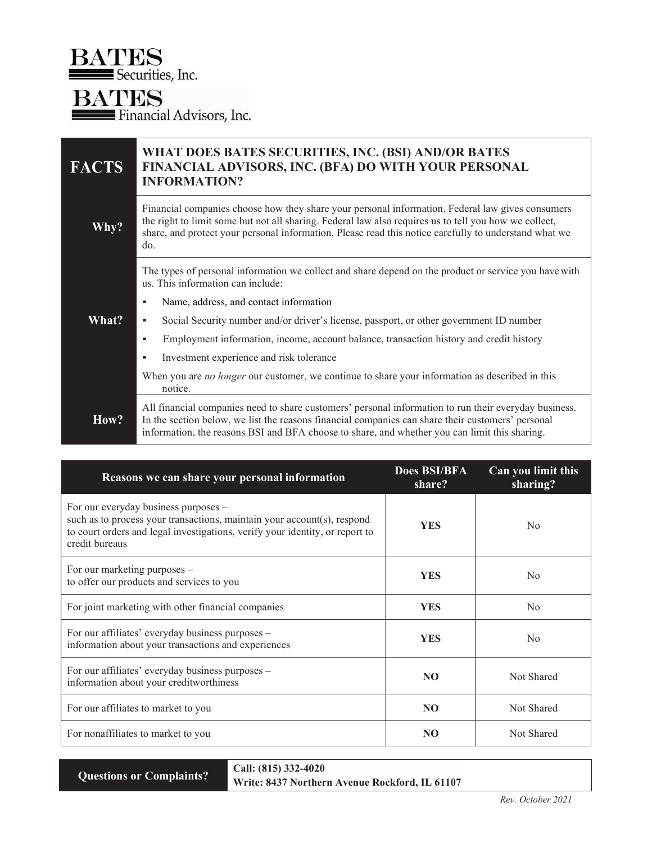**BATES**<br>Securities, Inc.

**BATES**<br>Financial Advisors, Inc.

| <b>FACTS</b> | WHAT DOES BATES SECURITIES, INC. (BSI) AND/OR BATES<br>FINANCIAL ADVISORS, INC. (BFA) DO WITH YOUR PERSONAL<br><b>INFORMATION?</b>                                                                                                                                                                                        |  |  |
|--------------|---------------------------------------------------------------------------------------------------------------------------------------------------------------------------------------------------------------------------------------------------------------------------------------------------------------------------|--|--|
| Why?         | Financial companies choose how they share your personal information. Federal law gives consumers<br>the right to limit some but not all sharing. Federal law also requires us to tell you how we collect,<br>share, and protect your personal information. Please read this notice carefully to understand what we<br>do. |  |  |
|              | The types of personal information we collect and share depend on the product or service you have with<br>us. This information can include:                                                                                                                                                                                |  |  |
|              | Name, address, and contact information<br>٠                                                                                                                                                                                                                                                                               |  |  |
| What?        | Social Security number and/or driver's license, passport, or other government ID number<br>ж                                                                                                                                                                                                                              |  |  |
|              | Employment information, income, account balance, transaction history and credit history<br>٠                                                                                                                                                                                                                              |  |  |
|              | Investment experience and risk tolerance<br>٠                                                                                                                                                                                                                                                                             |  |  |
|              | When you are <i>no longer</i> our customer, we continue to share your information as described in this<br>notice.                                                                                                                                                                                                         |  |  |
| How?         | All financial companies need to share customers' personal information to run their everyday business.<br>In the section below, we list the reasons financial companies can share their customers' personal<br>information, the reasons BSI and BFA choose to share, and whether you can limit this sharing.               |  |  |

| Reasons we can share your personal information                                                                                                                                                                    | <b>Does BSI/BFA</b><br>share? | Can you limit this<br>sharing? |
|-------------------------------------------------------------------------------------------------------------------------------------------------------------------------------------------------------------------|-------------------------------|--------------------------------|
| For our everyday business purposes -<br>such as to process your transactions, maintain your account(s), respond<br>to court orders and legal investigations, verify your identity, or report to<br>credit bureaus | <b>YES</b>                    | No                             |
| For our marketing purposes –<br>to offer our products and services to you                                                                                                                                         | <b>YES</b>                    | N <sub>0</sub>                 |
| For joint marketing with other financial companies                                                                                                                                                                | <b>YES</b>                    | No                             |
| For our affiliates' everyday business purposes -<br>information about your transactions and experiences                                                                                                           | <b>YES</b>                    | N <sub>0</sub>                 |
| For our affiliates' everyday business purposes -<br>information about your creditworthiness                                                                                                                       | NO <sub>1</sub>               | Not Shared                     |
| For our affiliates to market to you                                                                                                                                                                               | NO.                           | Not Shared                     |
| For nonaffiliates to market to you                                                                                                                                                                                | N <sub>O</sub>                | Not Shared                     |

Questions or Complaints?  $\begin{array}{|l|l|}\n\hline\n\text{Call: (815) 332-4020}\n\hline\n\text{Writo: 8437 Northern} \end{array}$ Write: 8437 Northern Avenue Rockford, IL 61107 ┑